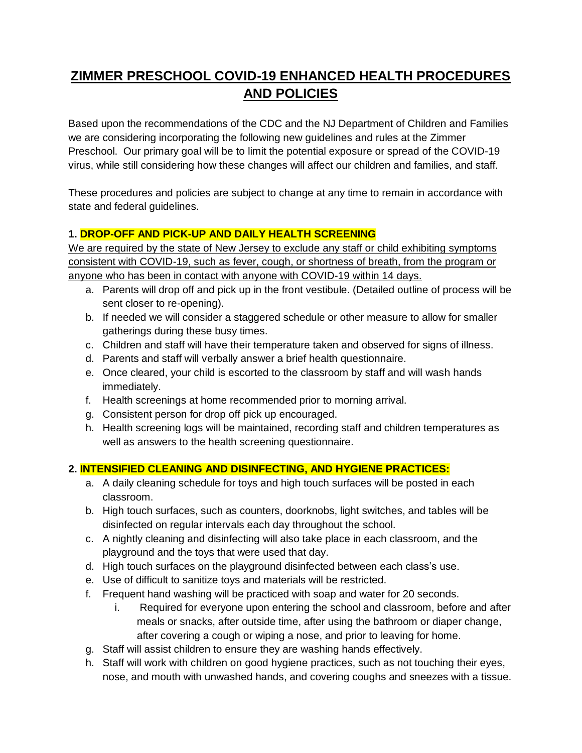# **ZIMMER PRESCHOOL COVID-19 ENHANCED HEALTH PROCEDURES AND POLICIES**

Based upon the recommendations of the CDC and the NJ Department of Children and Families we are considering incorporating the following new guidelines and rules at the Zimmer Preschool. Our primary goal will be to limit the potential exposure or spread of the COVID-19 virus, while still considering how these changes will affect our children and families, and staff.

These procedures and policies are subject to change at any time to remain in accordance with state and federal guidelines.

# **1. DROP-OFF AND PICK-UP AND DAILY HEALTH SCREENING**

We are required by the state of New Jersey to exclude any staff or child exhibiting symptoms consistent with COVID-19, such as fever, cough, or shortness of breath, from the program or anyone who has been in contact with anyone with COVID-19 within 14 days.

- a. Parents will drop off and pick up in the front vestibule. (Detailed outline of process will be sent closer to re-opening).
- b. If needed we will consider a staggered schedule or other measure to allow for smaller gatherings during these busy times.
- c. Children and staff will have their temperature taken and observed for signs of illness.
- d. Parents and staff will verbally answer a brief health questionnaire.
- e. Once cleared, your child is escorted to the classroom by staff and will wash hands immediately.
- f. Health screenings at home recommended prior to morning arrival.
- g. Consistent person for drop off pick up encouraged.
- h. Health screening logs will be maintained, recording staff and children temperatures as well as answers to the health screening questionnaire.

# **2. INTENSIFIED CLEANING AND DISINFECTING, AND HYGIENE PRACTICES:**

- a. A daily cleaning schedule for toys and high touch surfaces will be posted in each classroom.
- b. High touch surfaces, such as counters, doorknobs, light switches, and tables will be disinfected on regular intervals each day throughout the school.
- c. A nightly cleaning and disinfecting will also take place in each classroom, and the playground and the toys that were used that day.
- d. High touch surfaces on the playground disinfected between each class's use.
- e. Use of difficult to sanitize toys and materials will be restricted.
- f. Frequent hand washing will be practiced with soap and water for 20 seconds.
	- i. Required for everyone upon entering the school and classroom, before and after meals or snacks, after outside time, after using the bathroom or diaper change, after covering a cough or wiping a nose, and prior to leaving for home.
- g. Staff will assist children to ensure they are washing hands effectively.
- h. Staff will work with children on good hygiene practices, such as not touching their eyes, nose, and mouth with unwashed hands, and covering coughs and sneezes with a tissue.